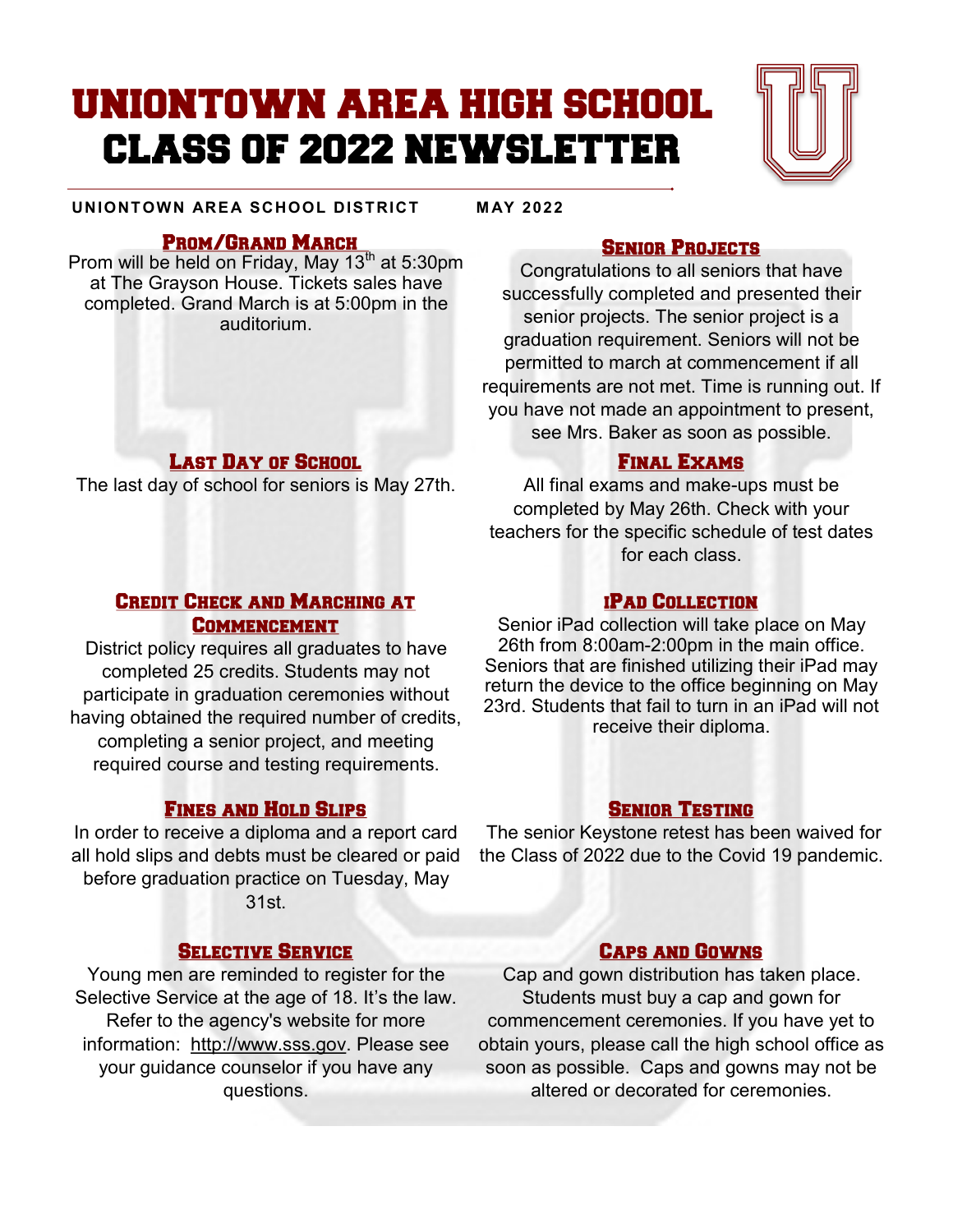# UNIONTOWN AREA HIGH SCHOOL CLASS OF 2022 NEWSLETTER



#### **UNIONTOWN AREA SCHOOL DISTRICT MAY 2022**

#### Prom/Grand March

Prom will be held on Friday, May  $13^{th}$  at 5:30pm at The Grayson House. Tickets sales have completed. Grand March is at 5:00pm in the auditorium.

#### **LAST DAY OF SCHOOL**

The last day of school for seniors is May 27th.

#### Credit Check and Marching at **COMMENCEMENT**

District policy requires all graduates to have completed 25 credits. Students may not participate in graduation ceremonies without having obtained the required number of credits, completing a senior project, and meeting required course and testing requirements.

#### Fines and Hold Slips

In order to receive a diploma and a report card all hold slips and debts must be cleared or paid before graduation practice on Tuesday, May 31st.

#### Selective Service

Young men are reminded to register for the Selective Service at the age of 18. It's the law. Refer to the agency's website for more information: [http://www.sss.gov.](http://www.sss.gov/) Please see your guidance counselor if you have any questions.

#### **SENIOR PROJECTS**

Congratulations to all seniors that have successfully completed and presented their senior projects. The senior project is a graduation requirement. Seniors will not be permitted to march at commencement if all requirements are not met. Time is running out. If you have not made an appointment to present, see Mrs. Baker as soon as possible.

#### Final Exams

All final exams and make-ups must be completed by May 26th. Check with your teachers for the specific schedule of test dates for each class.

#### iPad Collection

Senior iPad collection will take place on May 26th from 8:00am-2:00pm in the main office. Seniors that are finished utilizing their iPad may return the device to the office beginning on May 23rd. Students that fail to turn in an iPad will not receive their diploma.

#### Senior Testing

The senior Keystone retest has been waived for the Class of 2022 due to the Covid 19 pandemic.

#### Caps and Gowns

Cap and gown distribution has taken place. Students must buy a cap and gown for commencement ceremonies. If you have yet to obtain yours, please call the high school office as soon as possible. Caps and gowns may not be altered or decorated for ceremonies.